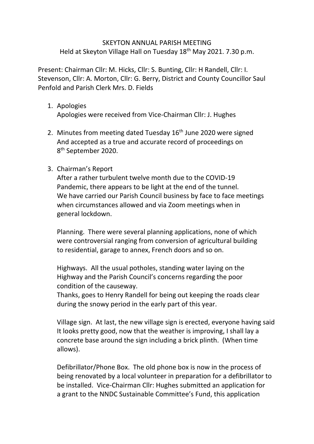## SKEYTON ANNUAL PARISH MEETING Held at Skeyton Village Hall on Tuesday 18th May 2021. 7.30 p.m.

Present: Chairman Cllr: M. Hicks, Cllr: S. Bunting, Cllr: H Randell, Cllr: I. Stevenson, Cllr: A. Morton, Cllr: G. Berry, District and County Councillor Saul Penfold and Parish Clerk Mrs. D. Fields

- 1. Apologies Apologies were received from Vice-Chairman Cllr: J. Hughes
- 2. Minutes from meeting dated Tuesday 16<sup>th</sup> June 2020 were signed And accepted as a true and accurate record of proceedings on 8<sup>th</sup> September 2020.

## 3. Chairman's Report

After a rather turbulent twelve month due to the COVID-19 Pandemic, there appears to be light at the end of the tunnel. We have carried our Parish Council business by face to face meetings when circumstances allowed and via Zoom meetings when in general lockdown.

Planning. There were several planning applications, none of which were controversial ranging from conversion of agricultural building to residential, garage to annex, French doors and so on.

Highways. All the usual potholes, standing water laying on the Highway and the Parish Council's concerns regarding the poor condition of the causeway.

Thanks, goes to Henry Randell for being out keeping the roads clear during the snowy period in the early part of this year.

Village sign. At last, the new village sign is erected, everyone having said It looks pretty good, now that the weather is improving, I shall lay a concrete base around the sign including a brick plinth. (When time allows).

Defibrillator/Phone Box. The old phone box is now in the process of being renovated by a local volunteer in preparation for a defibrillator to be installed. Vice-Chairman Cllr: Hughes submitted an application for a grant to the NNDC Sustainable Committee's Fund, this application